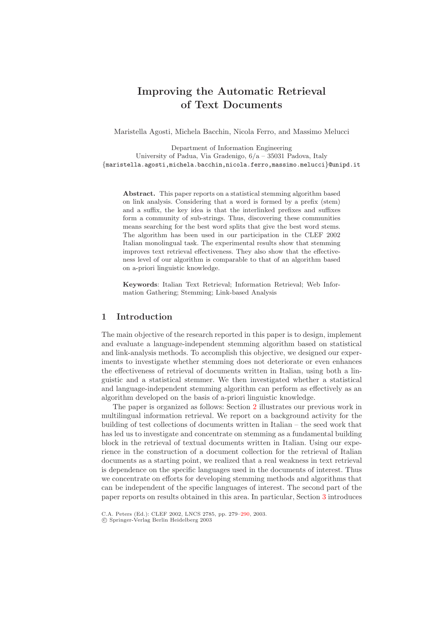# **Improving the Automatic Retrieval of Text Documents**

Maristella Agosti, Michela Bacchin, Nicola Ferro, and Massimo Melucci

Department of Information Engineering University of Padua, Via Gradenigo, 6/a – 35031 Padova, Italy *{*maristella.agosti,michela.bacchin,nicola.ferro,massimo.melucci*}*@unipd.it

**Abstract.** This paper reports on a statistical stemming algorithm based on link analysis. Considering that a word is formed by a prefix (stem) and a suffix, the key idea is that the interlinked prefixes and suffixes form a community of sub-strings. Thus, discovering these communities means searching for the best word splits that give the best word stems. The algorithm has been used in our participation in the CLEF 2002 Italian monolingual task. The experimental results show that stemming improves text retrieval effectiveness. They also show that the effectiveness level of our algorithm is comparable to that of an algorithm based on a-priori linguistic knowledge.

**Keywords**: Italian Text Retrieval; Information Retrieval; Web Information Gathering; Stemming; Link-based Analysis

### **1 Introduction**

The main objective of the research reported in this paper is to design, implement and evaluate a language-independent stemming algorithm based on statistical and link-analysis methods. To accomplish this objective, we designed our experiments to investigate whether stemming does not deteriorate or even enhances the effectiveness of retrieval of documents written in Italian, using both a linguistic and a statistical stemmer. We then investigated whether a statistical and language-independent stemming algorithm can perform as effectively as an algorithm developed on the basis of a-priori linguistic knowledge.

The paper is organized as follows: Section [2](#page-1-0) illustrates our previous work in multilingual information retrieval. We report on a background activity for the building of test collections of documents written in Italian – the seed work that has led us to investigate and concentrate on stemming as a fundamental building block in the retrieval of textual documents written in Italian. Using our experience in the construction of a document collection for the retrieval of Italian documents as a starting point, we realized that a real weakness in text retrieval is dependence on the specific languages used in the documents of interest. Thus we concentrate on efforts for developing stemming methods and algorithms that can be independent of the specific languages of interest. The second part of the paper reports on results obtained in this area. In particular, Section [3](#page-3-0) introduces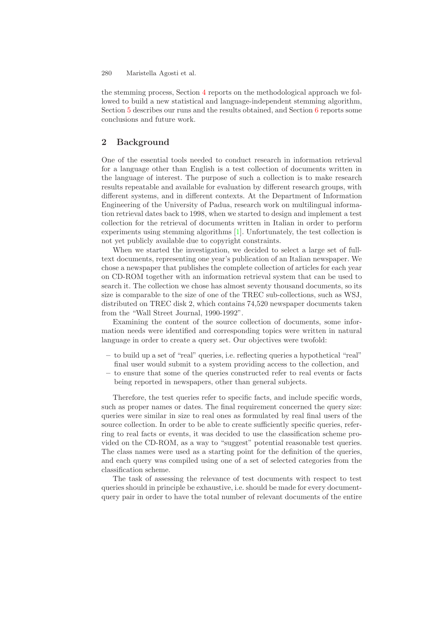<span id="page-1-1"></span>the stemming process, Section [4](#page-3-1) reports on the methodological approach we followed to build a new statistical and language-independent stemming algorithm, Section [5](#page-7-0) describes our runs and the results obtained, and Section [6](#page-10-0) reports some conclusions and future work.

### <span id="page-1-0"></span>**2 Background**

One of the essential tools needed to conduct research in information retrieval for a language other than English is a test collection of documents written in the language of interest. The purpose of such a collection is to make research results repeatable and available for evaluation by different research groups, with different systems, and in different contexts. At the Department of Information Engineering of the University of Padua, research work on multilingual information retrieval dates back to 1998, when we started to design and implement a test collection for the retrieval of documents written in Italian in order to perform experiments using stemming algorithms [\[1\]](#page-10-1). Unfortunately, the test collection is not yet publicly available due to copyright constraints.

When we started the investigation, we decided to select a large set of fulltext documents, representing one year's publication of an Italian newspaper. We chose a newspaper that publishes the complete collection of articles for each year on CD-ROM together with an information retrieval system that can be used to search it. The collection we chose has almost seventy thousand documents, so its size is comparable to the size of one of the TREC sub-collections, such as WSJ, distributed on TREC disk 2, which contains 74,520 newspaper documents taken from the "Wall Street Journal, 1990-1992".

Examining the content of the source collection of documents, some information needs were identified and corresponding topics were written in natural language in order to create a query set. Our objectives were twofold:

- **–** to build up a set of "real" queries, i.e. reflecting queries a hypothetical "real" final user would submit to a system providing access to the collection, and
- **–** to ensure that some of the queries constructed refer to real events or facts being reported in newspapers, other than general subjects.

Therefore, the test queries refer to specific facts, and include specific words, such as proper names or dates. The final requirement concerned the query size: queries were similar in size to real ones as formulated by real final users of the source collection. In order to be able to create sufficiently specific queries, referring to real facts or events, it was decided to use the classification scheme provided on the CD-ROM, as a way to "suggest" potential reasonable test queries. The class names were used as a starting point for the definition of the queries, and each query was compiled using one of a set of selected categories from the classification scheme.

The task of assessing the relevance of test documents with respect to test queries should in principle be exhaustive, i.e. should be made for every documentquery pair in order to have the total number of relevant documents of the entire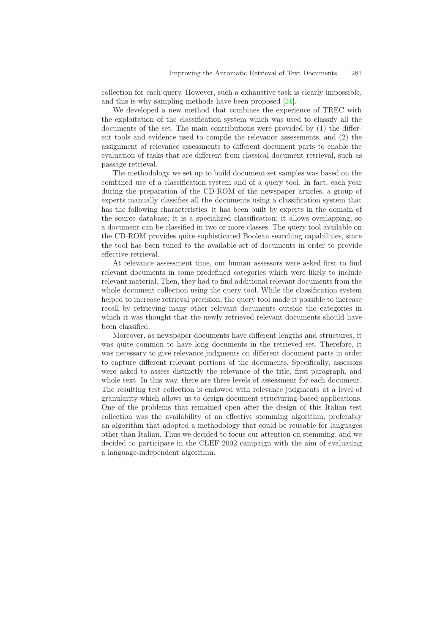<span id="page-2-0"></span>collection for each query. However, such a exhaustive task is clearly impossible, and this is why sampling methods have been proposed [\[21\]](#page-11-1).

We developed a newmethod that combines the experience of TREC with the exploitation of the classification system which was used to classify all the documents of the set. The main contributions were provided by (1) the different tools and evidence used to compile the relevance assessments, and (2) the assignment of relevance assessments to different document parts to enable the evaluation of tasks that are different from classical document retrieval, such as passage retrieval.

The methodology we set up to build document set samples was based on the combined use of a classification system and of a query tool. In fact, each year during the preparation of the CD-ROM of the newspaper articles, a group of experts manually classifies all the documents using a classification system that has the following characteristics: it has been built by experts in the domain of the source database; it is a specialized classification; it allows overlapping, so a document can be classified in two or more classes. The query tool available on the CD-ROM provides quite sophisticated Boolean searching capabilities, since the tool has been tuned to the available set of documents in order to provide effective retrieval.

At relevance assessment time, our human assessors were asked first to find relevant documents in some predefined categories which were likely to include relevant material. Then, they had to find additional relevant documents from the whole document collection using the query tool. While the classification system helped to increase retrieval precision, the query tool made it possible to increase recall by retrieving many other relevant documents outside the categories in which it was thought that the newly retrieved relevant documents should have been classified.

Moreover, as newspaper documents have different lengths and structures, it was quite common to have long documents in the retrieved set. Therefore, it was necessary to give relevance judgments on different document parts in order to capture different relevant portions of the documents. Specifically, assessors were asked to assess distinctly the relevance of the title, first paragraph, and whole text. In this way, there are three levels of assessment for each document. The resulting test collection is endowed with relevance judgments at a level of granularity which allows us to design document structuring-based applications. One of the problems that remained open after the design of this Italian test collection was the availability of an effective stemming algorithm, preferably an algorithm that adopted a methodology that could be reusable for languages other than Italian. Thus we decided to focus our attention on stemming, and we decided to participate in the CLEF 2002 campaign with the aim of evaluating a language-independent algorithm.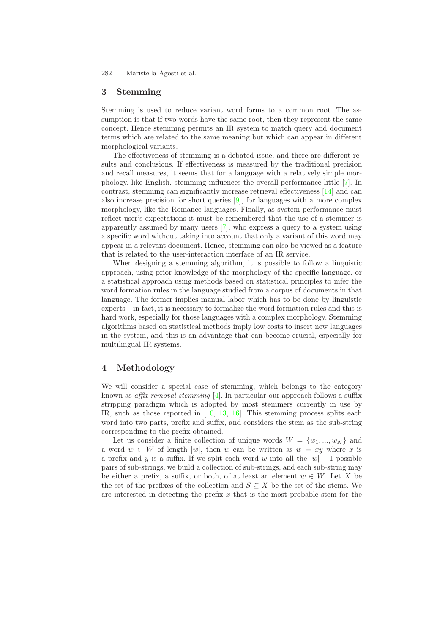### <span id="page-3-4"></span><span id="page-3-3"></span><span id="page-3-0"></span>**3 Stemming**

Stemming is used to reduce variant word forms to a common root. The assumption is that if two words have the same root, then they represent the same concept. Hence stemming permits an IR system to match query and document terms which are related to the same meaning but which can appear in different morphological variants.

The effectiveness of stemming is a debated issue, and there are different results and conclusions. If effectiveness is measured by the traditional precision and recall measures, it seems that for a language with a relatively simple morphology, like English, stemming influences the overall performance little [\[7\]](#page-11-2). In contrast, stemming can significantly increase retrieval effectiveness [\[14\]](#page-11-3) and can also increase precision for short queries [\[9\]](#page-11-4), for languages with a more complex morphology, like the Romance languages. Finally, as system performance must reflect user's expectations it must be remembered that the use of a stemmer is apparently assumed by many users [\[7\]](#page-11-2), who express a query to a system using a specific word without taking into account that only a variant of this word may appear in a relevant document. Hence, stemming can also be viewed as a feature that is related to the user-interaction interface of an IR service.

When designing a stemming algorithm, it is possible to follow a linguistic approach, using prior knowledge of the morphology of the specific language, or a statistical approach using methods based on statistical principles to infer the word formation rules in the language studied from a corpus of documents in that language. The former implies manual labor which has to be done by linguistic experts – in fact, it is necessary to formalize the word formation rules and this is hard work, especially for those languages with a complex morphology. Stemming algorithms based on statistical methods imply lowcosts to insert newlanguages in the system, and this is an advantage that can become crucial, especially for multilingual IR systems.

### <span id="page-3-2"></span><span id="page-3-1"></span>**4 Methodology**

We will consider a special case of stemming, which belongs to the category known as *affix removal stemming* [\[4\]](#page-10-2). In particular our approach follows a suffix stripping paradigm which is adopted by most stemmers currently in use by IR, such as those reported in [\[10,](#page-11-5) [13,](#page-11-6) [16\]](#page-11-7). This stemming process splits each word into two parts, prefix and suffix, and considers the stem as the sub-string corresponding to the prefix obtained.

Let us consider a finite collection of unique words  $W = \{w_1, ..., w_N\}$  and a word  $w \in W$  of length |w|, then w can be written as  $w = xy$  where x is a prefix and *y* is a suffix. If we split each word *w* into all the  $|w| - 1$  possible pairs of sub-strings, we build a collection of sub-strings, and each sub-string may be either a prefix, a suffix, or both, of at least an element  $w \in W$ . Let X be the set of the prefixes of the collection and  $S \subseteq X$  be the set of the stems. We are interested in detecting the prefix *x* that is the most probable stem for the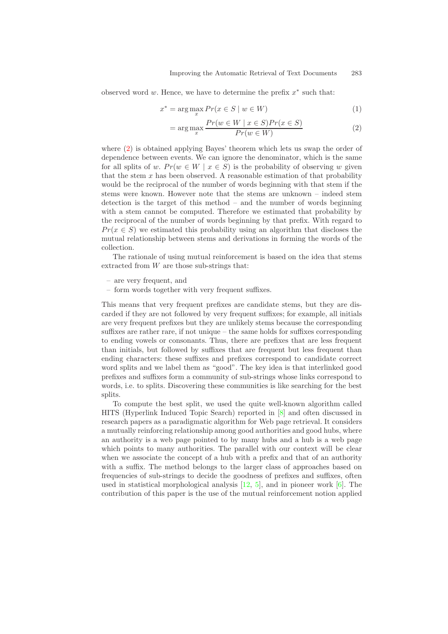<span id="page-4-1"></span><span id="page-4-0"></span>observed word *w*. Hence, we have to determine the prefix *x*<sup>∗</sup> such that:

$$
x^* = \arg\max_x \Pr(x \in S \mid w \in W) \tag{1}
$$

$$
= \arg\max_{x} \frac{Pr(w \in W \mid x \in S)Pr(x \in S)}{Pr(w \in W)}
$$
(2)

where [\(2\)](#page-4-0) is obtained applying Bayes' theorem which lets us swap the order of dependence between events. We can ignore the denominator, which is the same for all splits of *w*.  $Pr(w \in W \mid x \in S)$  is the probability of observing *w* given that the stem *x* has been observed. A reasonable estimation of that probability would be the reciprocal of the number of words beginning with that stem if the stems were known. However note that the stems are unknown – indeed stem detection is the target of this method – and the number of words beginning with a stem cannot be computed. Therefore we estimated that probability by the reciprocal of the number of words beginning by that prefix. With regard to  $Pr(x \in S)$  we estimated this probability using an algorithm that discloses the mutual relationship between stems and derivations in forming the words of the collection.

The rationale of using mutual reinforcement is based on the idea that stems extracted from *W* are those sub-strings that:

- are very frequent, and
- form words together with very frequent suffixes.

This means that very frequent prefixes are candidate stems, but they are discarded if they are not followed by very frequent suffixes; for example, all initials are very frequent prefixes but they are unlikely stems because the corresponding suffixes are rather rare, if not unique – the same holds for suffixes corresponding to ending vowels or consonants. Thus, there are prefixes that are less frequent than initials, but followed by suffixes that are frequent but less frequent than ending characters: these suffixes and prefixes correspond to candidate correct word splits and we label them as "good". The key idea is that interlinked good prefixes and suffixes form a community of sub-strings whose links correspond to words, i.e. to splits. Discovering these communities is like searching for the best splits.

To compute the best split, we used the quite well-known algorithm called HITS (Hyperlink Induced Topic Search) reported in [\[8\]](#page-11-8) and often discussed in research papers as a paradigmatic algorithm for Web page retrieval. It considers a mutually reinforcing relationship among good authorities and good hubs, where an authority is a web page pointed to by many hubs and a hub is a web page which points to many authorities. The parallel with our context will be clear when we associate the concept of a hub with a prefix and that of an authority with a suffix. The method belongs to the larger class of approaches based on frequencies of sub-strings to decide the goodness of prefixes and suffixes, often used in statistical morphological analysis  $[12, 5]$  $[12, 5]$  $[12, 5]$ , and in pioneer work  $[6]$ . The contribution of this paper is the use of the mutual reinforcement notion applied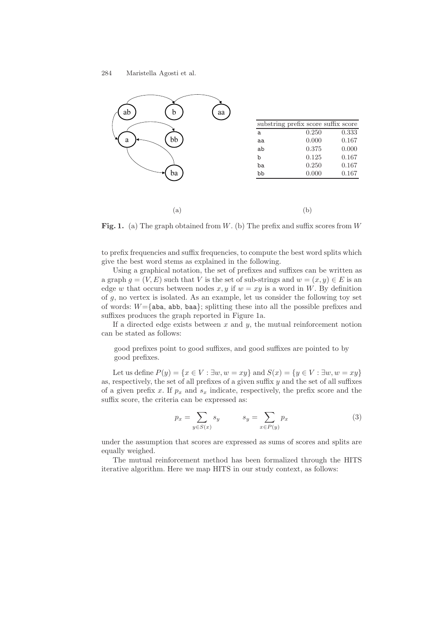

**Fig. 1.** (a) The graph obtained from *W*. (b) The prefix and suffix scores from *W*

to prefix frequencies and suffix frequencies, to compute the best word splits which give the best word stems as explained in the following.

Using a graphical notation, the set of prefixes and suffixes can be written as a graph  $q = (V, E)$  such that *V* is the set of sub-strings and  $w = (x, y) \in E$  is an edge *w* that occurs between nodes *x*, *y* if  $w = xy$  is a word in *W*. By definition of *g*, no vertex is isolated. As an example, let us consider the following toy set of words:  $W = \{aba, abb, baa\}$ ; splitting these into all the possible prefixes and suffixes produces the graph reported in Figure 1a.

If a directed edge exists between *x* and *y*, the mutual reinforcement notion can be stated as follows:

good prefixes point to good suffixes, and good suffixes are pointed to by good prefixes.

Let us define  $P(y) = \{x \in V : \exists w, w = xy\}$  and  $S(x) = \{y \in V : \exists w, w = xy\}$ as, respectively, the set of all prefixes of a given suffix *y* and the set of all suffixes of a given prefix x. If  $p_x$  and  $s_x$  indicate, respectively, the prefix score and the suffix score, the criteria can be expressed as:

$$
p_x = \sum_{y \in S(x)} s_y \qquad s_y = \sum_{x \in P(y)} p_x \tag{3}
$$

under the assumption that scores are expressed as sums of scores and splits are equally weighed.

The mutual reinforcement method has been formalized through the HITS iterative algorithm. Here we map HITS in our study context, as follows: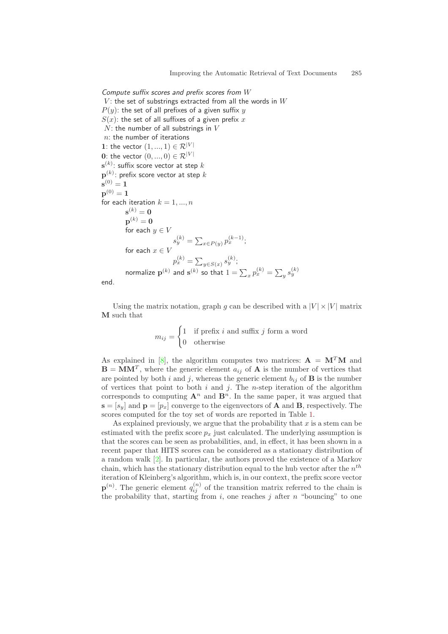<span id="page-6-1"></span><span id="page-6-0"></span>Compute suffix scores and prefix scores from *W V* : the set of substrings extracted from all the words in *W*  $P(y)$ : the set of all prefixes of a given suffix  $y$  $S(x)$ : the set of all suffixes of a given prefix x *N*: the number of all substrings in *V n*: the number of iterations **1**: the vector  $(1, ..., 1) \in \mathcal{R}^{|V|}$ **0**: the vector  $(0, ..., 0) \in \mathcal{R}^{|V|}$  $\mathbf{s}^{(k)}$ : suffix score vector at step  $k$ <br> $\mathbf{s}^{(k)}$  · profix score vector at step  $k$ **p**(*k*): prefix score vector at step *k*  ${\bf s}^{(0)}={\bf 1}$  ${\bf p}^{(0)} = 1$ for each iteration  $k = 1, ..., n$  $\mathbf{s}^{(k)} = \mathbf{0}$ <br> $\mathbf{p}^{(k)} = \mathbf{0}$  $\mathbf{p}^{(k)}=\mathbf{0}$ <br>for each for each  $y \in V$  $s_y^{(k)} = \sum_{x \in P(y)} p_x^{(k-1)};$ for each  $x \in V$  $p_x^{(k)} = \sum_{y \in S(x)} s_y^{(k)};$ normalize  $\mathbf{p}^{(k)}$  and  $\mathbf{s}^{(k)}$  so that  $1 = \sum_x p_x^{(k)} = \sum_y s_y^{(k)}$ 

end.

Using the matrix notation, graph *g* can be described with a  $|V| \times |V|$  matrix **M** such that

$$
m_{ij} = \begin{cases} 1 & \text{if prefix } i \text{ and suffix } j \text{ form a word} \\ 0 & \text{otherwise} \end{cases}
$$

As explained in [\[8\]](#page-11-8), the algorithm computes two matrices:  $\mathbf{A} = \mathbf{M}^T \mathbf{M}$  and  $\mathbf{B} = \mathbf{M}\mathbf{M}^T$ , where the generic element  $a_{ij}$  of  $\mathbf{A}$  is the number of vertices that are pointed by both *i* and *j*, whereas the generic element  $b_{ij}$  of **B** is the number of vertices that point to both *i* and *j*. The *n*-step iteration of the algorithm corresponds to computing  $A^n$  and  $B^n$ . In the same paper, it was argued that  $\mathbf{s} = [s_y]$  and  $\mathbf{p} = [p_x]$  converge to the eigenvectors of **A** and **B**, respectively. The scores computed for the toy set of words are reported in Table [1.](#page-7-1)

As explained previously, we argue that the probability that *x* is a stem can be estimated with the prefix score  $p_x$  just calculated. The underlying assumption is that the scores can be seen as probabilities, and, in effect, it has been shown in a recent paper that HITS scores can be considered as a stationary distribution of a random walk [\[2\]](#page-10-3). In particular, the authors proved the existence of a Markov chain, which has the stationary distribution equal to the hub vector after the *nth* iteration of Kleinberg's algorithm, which is, in our context, the prefix score vector  $\mathbf{p}^{(n)}$ . The generic element  $q_{ij}^{(n)}$  of the transition matrix referred to the chain is<br>the probability that starting from *i* one reaches *i* after *n* "bouncing" to one the probability that, starting from *i*, one reaches *i* after *n* "bouncing" to one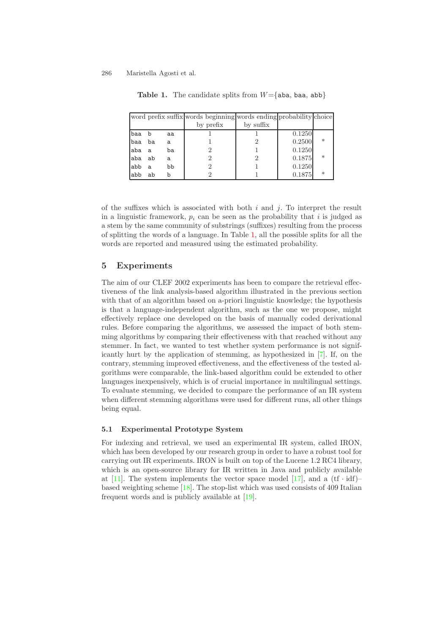|        |                |    | word prefix suffix words beginning words ending probability choice |           |        |        |
|--------|----------------|----|--------------------------------------------------------------------|-----------|--------|--------|
|        |                |    | by prefix                                                          | by suffix |        |        |
| lbaa   | b              | aa |                                                                    |           | 0.1250 |        |
| baa ba |                | a  |                                                                    | 2         | 0.2500 | $\ast$ |
| laba   | $\overline{a}$ | ba |                                                                    |           | 0.1250 |        |
| aba ab |                | a  |                                                                    |           | 0.1875 | $\ast$ |
| abb    | a              | bb |                                                                    |           | 0.1250 |        |
| labb   | ab             | b  |                                                                    |           | 0.1875 | $\ast$ |

<span id="page-7-3"></span><span id="page-7-2"></span><span id="page-7-1"></span>

| <b>Table 1.</b> The candidate splits from $W = \{aba, baa, abb\}$ |  |  |  |
|-------------------------------------------------------------------|--|--|--|
|                                                                   |  |  |  |

of the suffixes which is associated with both *i* and *j*. To interpret the result in a linguistic framework,  $p_i$  can be seen as the probability that *i* is judged as a stem by the same community of substrings (suffixes) resulting from the process of splitting the words of a language. In Table [1,](#page-7-2) all the possible splits for all the words are reported and measured using the estimated probability.

## <span id="page-7-0"></span>**5 Experiments**

The aim of our CLEF 2002 experiments has been to compare the retrieval effectiveness of the link analysis-based algorithm illustrated in the previous section with that of an algorithm based on a-priori linguistic knowledge; the hypothesis is that a language-independent algorithm, such as the one we propose, might effectively replace one developed on the basis of manually coded derivational rules. Before comparing the algorithms, we assessed the impact of both stemming algorithms by comparing their effectiveness with that reached without any stemmer. In fact, we wanted to test whether system performance is not significantly hurt by the application of stemming, as hypothesized in [\[7\]](#page-11-2). If, on the contrary, stemming improved effectiveness, and the effectiveness of the tested algorithms were comparable, the link-based algorithm could be extended to other languages inexpensively, which is of crucial importance in multilingual settings. To evaluate stemming, we decided to compare the performance of an IR system when different stemming algorithms were used for different runs, all other things being equal.

#### $5.1$ **5.1 Experimental Prototype System**

For indexing and retrieval, we used an experimental IR system, called IRON, which has been developed by our research group in order to have a robust tool for carrying out IR experiments. IRON is built on top of the Lucene 1.2 RC4 library, which is an open-source library for IR written in Java and publicly available at [\[11\]](#page-11-12). The system implements the vector space model [\[17\]](#page-11-13), and a  $(tf \cdot idf)$ – based weighting scheme [\[18\]](#page-11-14). The stop-list which was used consists of 409 Italian frequent words and is publicly available at [\[19\]](#page-11-15).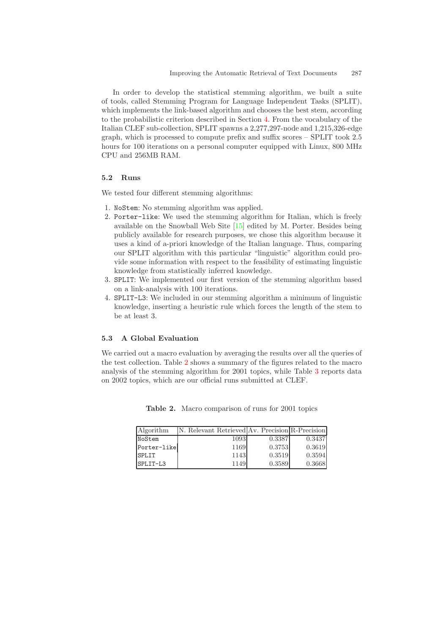<span id="page-8-1"></span>In order to develop the statistical stemming algorithm, we built a suite of tools, called Stemming Program for Language Independent Tasks (SPLIT), which implements the link-based algorithm and chooses the best stem, according to the probabilistic criterion described in Section [4.](#page-3-2) From the vocabulary of the Italian CLEF sub-collection, SPLIT spawns a 2,277,297-node and 1,215,326-edge graph, which is processed to compute prefix and suffix scores – SPLIT took 2.5 hours for 100 iterations on a personal computer equipped with Linux, 800 MHz CPU and 256MB RAM.

### $5.2$

We tested four different stemming algorithms:

- 1. NoStem: No stemming algorithm was applied.
- 2. Porter-like: We used the stemming algorithm for Italian, which is freely available on the Snowball Web Site [\[15\]](#page-11-16) edited by M. Porter. Besides being publicly available for research purposes, we chose this algorithm because it uses a kind of a-priori knowledge of the Italian language. Thus, comparing our SPLIT algorithm with this particular "linguistic" algorithm could provide some information with respect to the feasibility of estimating linguistic knowledge from statistically inferred knowledge.
- <span id="page-8-0"></span>3. SPLIT: We implemented our first version of the stemming algorithm based on a link-analysis with 100 iterations.
- 4. SPLIT-L3: We included in our stemming algorithm a minimum of linguistic knowledge, inserting a heuristic rule which forces the length of the stem to be at least 3.

#### A Global Evaluation  $5.3$

We carried out a macro evaluation by averaging the results over all the queries of the test collection. Table [2](#page-8-0) shows a summary of the figures related to the macro analysis of the stemming algorithm for 2001 topics, while Table [3](#page-9-0) reports data on 2002 topics, which are our official runs submitted at CLEF.

| Algorithm   | N. Relevant Retrieved Av. Precision R-Precision |        |        |
|-------------|-------------------------------------------------|--------|--------|
| NoStem      | 1093                                            | 0.3387 | 0.3437 |
| Porter-like | 1169                                            | 0.3753 | 0.3619 |
| SPLIT       | 1143                                            | 0.3519 | 0.3594 |
| SPLIT-L3    | 1149                                            | 0.3589 | 0.3668 |

**Table 2.** Macro comparison of runs for 2001 topics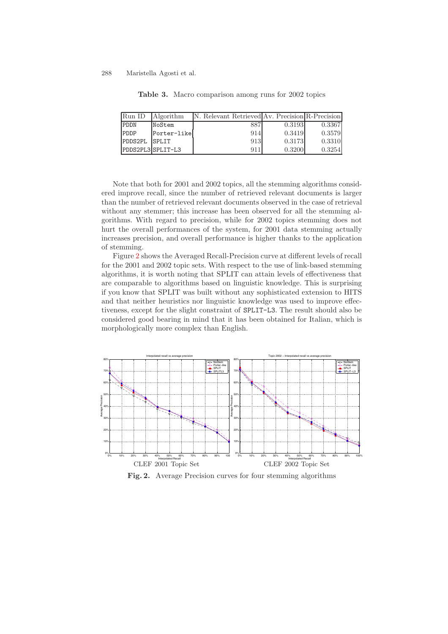| Run ID  | Algorithm        | N. Relevant Retrieved Av. Precision R-Precision |        |        |
|---------|------------------|-------------------------------------------------|--------|--------|
| PDDN    | NoStem           | 887                                             | 0.3193 | 0.3367 |
| PDDP    | Porter-like      | 914                                             | 0.3419 | 0.3579 |
| PDDS2PL | <b>SPLIT</b>     | 913                                             | 0.3173 | 0.3310 |
|         | PDDS2PL3SPLIT-L3 | 911                                             | 0.3200 | 0.3254 |

<span id="page-9-0"></span>**Table 3.** Macro comparison among runs for 2002 topics

Note that both for 2001 and 2002 topics, all the stemming algorithms considered improve recall, since the number of retrieved relevant documents is larger than the number of retrieved relevant documents observed in the case of retrieval without any stemmer; this increase has been observed for all the stemming algorithms. With regard to precision, while for 2002 topics stemming does not hurt the overall performances of the system, for 2001 data stemming actually increases precision, and overall performance is higher thanks to the application of stemming.

Figure [2](#page-9-1) shows the Averaged Recall-Precision curve at different levels of recall for the 2001 and 2002 topic sets. With respect to the use of link-based stemming algorithms, it is worth noting that SPLIT can attain levels of effectiveness that are comparable to algorithms based on linguistic knowledge. This is surprising if you knowthat SPLIT was built without any sophisticated extension to HITS and that neither heuristics nor linguistic knowledge was used to improve effectiveness, except for the slight constraint of SPLIT-L3. The result should also be considered good bearing in mind that it has been obtained for Italian, which is morphologically more complex than English.

<span id="page-9-1"></span>

**Fig. 2.** Average Precision curves for four stemming algorithms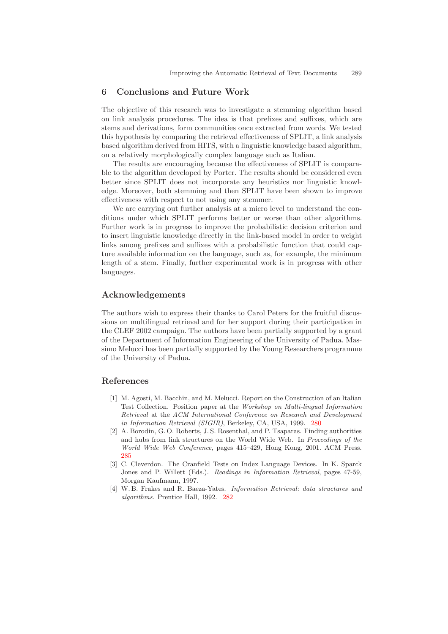### <span id="page-10-0"></span>**6 Conclusions and Future Work**

The objective of this research was to investigate a stemming algorithm based on link analysis procedures. The idea is that prefixes and suffixes, which are stems and derivations, form communities once extracted from words. We tested this hypothesis by comparing the retrieval effectiveness of SPLIT, a link analysis based algorithm derived from HITS, with a linguistic knowledge based algorithm, on a relatively morphologically complex language such as Italian.

The results are encouraging because the effectiveness of SPLIT is comparable to the algorithm developed by Porter. The results should be considered even better since SPLIT does not incorporate any heuristics nor linguistic knowledge. Moreover, both stemming and then SPLIT have been shown to improve effectiveness with respect to not using any stemmer.

We are carrying out further analysis at a micro level to understand the conditions under which SPLIT performs better or worse than other algorithms. Further work is in progress to improve the probabilistic decision criterion and to insert linguistic knowledge directly in the link-based model in order to weight links among prefixes and suffixes with a probabilistic function that could capture available information on the language, such as, for example, the minimum length of a stem. Finally, further experimental work is in progress with other languages.

### **Acknowledgements**

The authors wish to express their thanks to Carol Peters for the fruitful discussions on multilingual retrieval and for her support during their participation in the CLEF 2002 campaign. The authors have been partially supported by a grant of the Department of Information Engineering of the University of Padua. Massimo Melucci has been partially supported by the Young Researchers programme of the University of Padua.

### <span id="page-10-3"></span><span id="page-10-1"></span>**References**

- [1] M. Agosti, M. Bacchin, and M. Melucci. Report on the Construction of an Italian Test Collection. Position paper at the *Workshop on Multi-lingual Information Retrieval* at the *ACM International Conference on Research and Development in Information Retrieval (SIGIR)*, Berkeley, CA, USA, 1999. [280](#page-1-1)
- [2] A. Borodin, G. O. Roberts, J. S. Rosenthal, and P. Tsaparas. Finding authorities and hubs from link structures on the World Wide Web. In *Proceedings of the World Wide Web Conference*, pages 415–429, Hong Kong, 2001. ACM Press. [285](#page-6-0)
- <span id="page-10-2"></span>[3] C. Cleverdon. The Cranfield Tests on Index Language Devices. In K. Sparck Jones and P. Willett (Eds.). *Readings in Information Retrieval*, pages 47-59, Morgan Kaufmann, 1997.
- [4] W. B. Frakes and R. Baeza-Yates. *Information Retrieval: data structures and algorithms*. Prentice Hall, 1992. [282](#page-3-3)